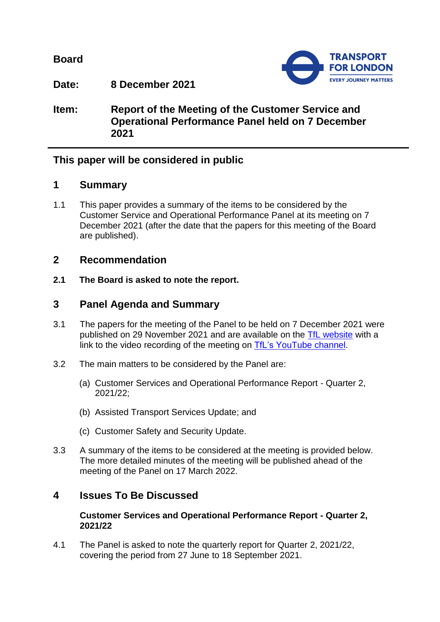**Board**



**Date: 8 December 2021**

**Item: Report of the Meeting of the Customer Service and Operational Performance Panel held on 7 December 2021**

# **This paper will be considered in public**

### **1 Summary**

1.1 This paper provides a summary of the items to be considered by the Customer Service and Operational Performance Panel at its meeting on 7 December 2021 (after the date that the papers for this meeting of the Board are published).

## **2 Recommendation**

**2.1 The Board is asked to note the report.**

## **3 Panel Agenda and Summary**

- 3.1 The papers for the meeting of the Panel to be held on 7 December 2021 were published on 29 November 2021 and are available on the [TfL website](https://board.tfl.gov.uk/ieListMeetings.aspx?CommitteeId=173) with a link to the video recording of the meeting on [TfL's YouTube](https://www.youtube.com/playlist?list=PLtnlusA0Zoggk4qvN68OcnD9k_7B8cY_d) channel.
- 3.2 The main matters to be considered by the Panel are:
	- (a) Customer Services and Operational Performance Report Quarter 2, 2021/22;
	- (b) Assisted Transport Services Update; and
	- (c) Customer Safety and Security Update.
- 3.3 A summary of the items to be considered at the meeting is provided below. The more detailed minutes of the meeting will be published ahead of the meeting of the Panel on 17 March 2022.

# **4 Issues To Be Discussed**

### **Customer Services and Operational Performance Report - Quarter 2, 2021/22**

4.1 The Panel is asked to note the quarterly report for Quarter 2, 2021/22, covering the period from 27 June to 18 September 2021.